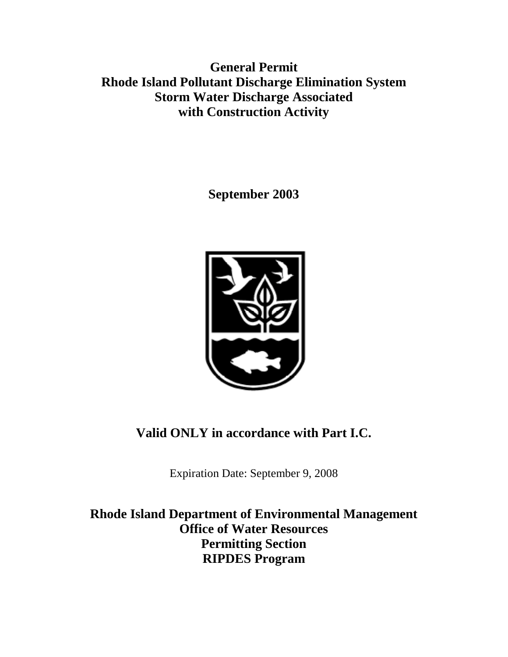**General Permit Rhode Island Pollutant Discharge Elimination System Storm Water Discharge Associated with Construction Activity**

**September 2003**



**Valid ONLY in accordance with Part I.C.**

Expiration Date: September 9, 2008

**Rhode Island Department of Environmental Management Office of Water Resources Permitting Section RIPDES Program**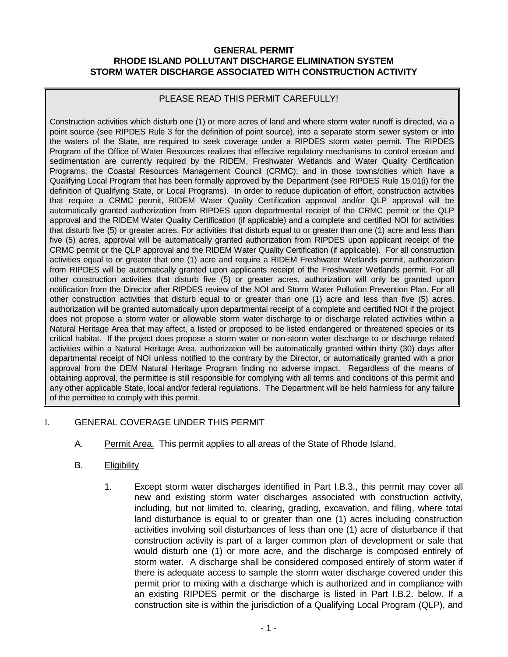#### **GENERAL PERMIT RHODE ISLAND POLLUTANT DISCHARGE ELIMINATION SYSTEM STORM WATER DISCHARGE ASSOCIATED WITH CONSTRUCTION ACTIVITY**

## PLEASE READ THIS PERMIT CAREFULLY!

Construction activities which disturb one (1) or more acres of land and where storm water runoff is directed, via a point source (see RIPDES Rule 3 for the definition of point source), into a separate storm sewer system or into the waters of the State, are required to seek coverage under a RIPDES storm water permit. The RIPDES Program of the Office of Water Resources realizes that effective regulatory mechanisms to control erosion and sedimentation are currently required by the RIDEM, Freshwater Wetlands and Water Quality Certification Programs; the Coastal Resources Management Council (CRMC); and in those towns/cities which have a Qualifying Local Program that has been formally approved by the Department (see RIPDES Rule 15.01(i) for the definition of Qualifying State, or Local Programs). In order to reduce duplication of effort, construction activities that require a CRMC permit, RIDEM Water Quality Certification approval and/or QLP approval will be automatically granted authorization from RIPDES upon departmental receipt of the CRMC permit or the QLP approval and the RIDEM Water Quality Certification (if applicable) and a complete and certified NOI for activities that disturb five (5) or greater acres. For activities that disturb equal to or greater than one (1) acre and less than five (5) acres, approval will be automatically granted authorization from RIPDES upon applicant receipt of the CRMC permit or the QLP approval and the RIDEM Water Quality Certification (if applicable). For all construction activities equal to or greater that one (1) acre and require a RIDEM Freshwater Wetlands permit, authorization from RIPDES will be automatically granted upon applicants receipt of the Freshwater Wetlands permit. For all other construction activities that disturb five (5) or greater acres, authorization will only be granted upon notification from the Director after RIPDES review of the NOI and Storm Water Pollution Prevention Plan. For all other construction activities that disturb equal to or greater than one (1) acre and less than five (5) acres, authorization will be granted automatically upon departmental receipt of a complete and certified NOI if the project does not propose a storm water or allowable storm water discharge to or discharge related activities within a Natural Heritage Area that may affect, a listed or proposed to be listed endangered or threatened species or its critical habitat. If the project does propose a storm water or non-storm water discharge to or discharge related activities within a Natural Heritage Area, authorization will be automatically granted within thirty (30) days after departmental receipt of NOI unless notified to the contrary by the Director, or automatically granted with a prior approval from the DEM Natural Heritage Program finding no adverse impact. Regardless of the means of obtaining approval, the permittee is still responsible for complying with all terms and conditions of this permit and any other applicable State, local and/or federal regulations. The Department will be held harmless for any failure of the permittee to comply with this permit.

## I. GENERAL COVERAGE UNDER THIS PERMIT

- A. Permit Area. This permit applies to all areas of the State of Rhode Island.
- B. Eligibility
	- 1. Except storm water discharges identified in Part I.B.3., this permit may cover all new and existing storm water discharges associated with construction activity, including, but not limited to, clearing, grading, excavation, and filling, where total land disturbance is equal to or greater than one (1) acres including construction activities involving soil disturbances of less than one (1) acre of disturbance if that construction activity is part of a larger common plan of development or sale that would disturb one (1) or more acre, and the discharge is composed entirely of storm water. A discharge shall be considered composed entirely of storm water if there is adequate access to sample the storm water discharge covered under this permit prior to mixing with a discharge which is authorized and in compliance with an existing RIPDES permit or the discharge is listed in Part I.B.2. below. If a construction site is within the jurisdiction of a Qualifying Local Program (QLP), and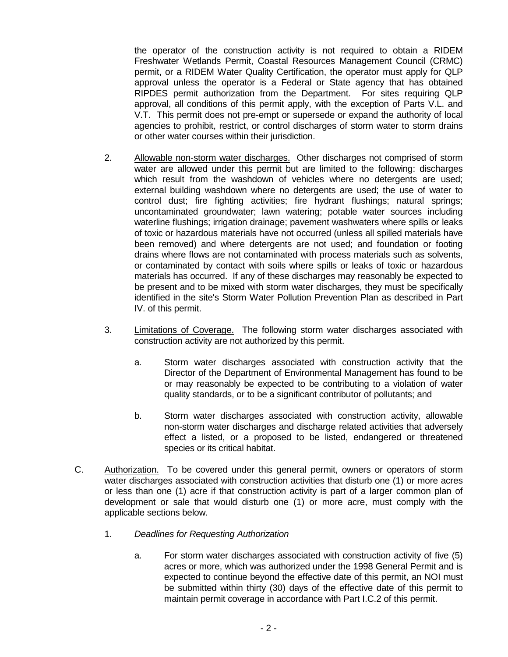the operator of the construction activity is not required to obtain a RIDEM Freshwater Wetlands Permit, Coastal Resources Management Council (CRMC) permit, or a RIDEM Water Quality Certification, the operator must apply for QLP approval unless the operator is a Federal or State agency that has obtained RIPDES permit authorization from the Department. For sites requiring QLP approval, all conditions of this permit apply, with the exception of Parts V.L. and V.T. This permit does not pre-empt or supersede or expand the authority of local agencies to prohibit, restrict, or control discharges of storm water to storm drains or other water courses within their jurisdiction.

- 2. Allowable non-storm water discharges. Other discharges not comprised of storm water are allowed under this permit but are limited to the following: discharges which result from the washdown of vehicles where no detergents are used; external building washdown where no detergents are used; the use of water to control dust; fire fighting activities; fire hydrant flushings; natural springs; uncontaminated groundwater; lawn watering; potable water sources including waterline flushings; irrigation drainage; pavement washwaters where spills or leaks of toxic or hazardous materials have not occurred (unless all spilled materials have been removed) and where detergents are not used; and foundation or footing drains where flows are not contaminated with process materials such as solvents, or contaminated by contact with soils where spills or leaks of toxic or hazardous materials has occurred. If any of these discharges may reasonably be expected to be present and to be mixed with storm water discharges, they must be specifically identified in the site's Storm Water Pollution Prevention Plan as described in Part IV. of this permit.
- 3. Limitations of Coverage. The following storm water discharges associated with construction activity are not authorized by this permit.
	- a. Storm water discharges associated with construction activity that the Director of the Department of Environmental Management has found to be or may reasonably be expected to be contributing to a violation of water quality standards, or to be a significant contributor of pollutants; and
	- b. Storm water discharges associated with construction activity, allowable non-storm water discharges and discharge related activities that adversely effect a listed, or a proposed to be listed, endangered or threatened species or its critical habitat.
- C. Authorization. To be covered under this general permit, owners or operators of storm water discharges associated with construction activities that disturb one (1) or more acres or less than one (1) acre if that construction activity is part of a larger common plan of development or sale that would disturb one (1) or more acre, must comply with the applicable sections below.
	- 1. *Deadlines for Requesting Authorization*
		- a. For storm water discharges associated with construction activity of five (5) acres or more, which was authorized under the 1998 General Permit and is expected to continue beyond the effective date of this permit, an NOI must be submitted within thirty (30) days of the effective date of this permit to maintain permit coverage in accordance with Part I.C.2 of this permit.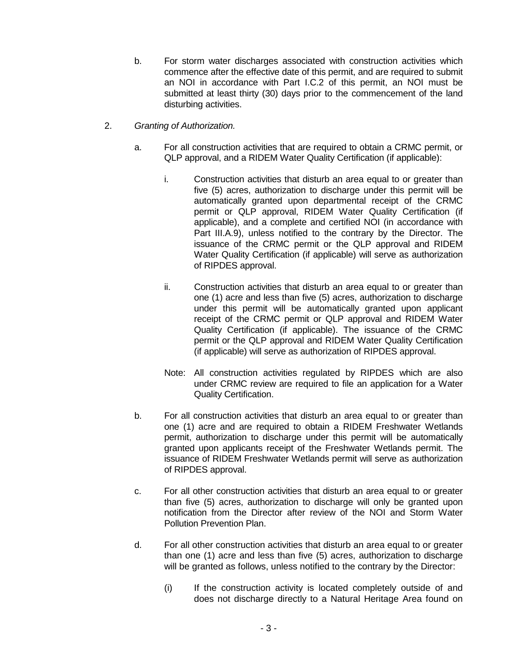- b. For storm water discharges associated with construction activities which commence after the effective date of this permit, and are required to submit an NOI in accordance with Part I.C.2 of this permit, an NOI must be submitted at least thirty (30) days prior to the commencement of the land disturbing activities.
- 2. *Granting of Authorization.*
	- a. For all construction activities that are required to obtain a CRMC permit, or QLP approval, and a RIDEM Water Quality Certification (if applicable):
		- i. Construction activities that disturb an area equal to or greater than five (5) acres, authorization to discharge under this permit will be automatically granted upon departmental receipt of the CRMC permit or QLP approval, RIDEM Water Quality Certification (if applicable), and a complete and certified NOI (in accordance with Part III.A.9), unless notified to the contrary by the Director. The issuance of the CRMC permit or the QLP approval and RIDEM Water Quality Certification (if applicable) will serve as authorization of RIPDES approval.
		- ii. Construction activities that disturb an area equal to or greater than one (1) acre and less than five (5) acres, authorization to discharge under this permit will be automatically granted upon applicant receipt of the CRMC permit or QLP approval and RIDEM Water Quality Certification (if applicable). The issuance of the CRMC permit or the QLP approval and RIDEM Water Quality Certification (if applicable) will serve as authorization of RIPDES approval.
		- Note: All construction activities regulated by RIPDES which are also under CRMC review are required to file an application for a Water Quality Certification.
	- b. For all construction activities that disturb an area equal to or greater than one (1) acre and are required to obtain a RIDEM Freshwater Wetlands permit, authorization to discharge under this permit will be automatically granted upon applicants receipt of the Freshwater Wetlands permit. The issuance of RIDEM Freshwater Wetlands permit will serve as authorization of RIPDES approval.
	- c. For all other construction activities that disturb an area equal to or greater than five (5) acres, authorization to discharge will only be granted upon notification from the Director after review of the NOI and Storm Water Pollution Prevention Plan.
	- d. For all other construction activities that disturb an area equal to or greater than one (1) acre and less than five (5) acres, authorization to discharge will be granted as follows, unless notified to the contrary by the Director:
		- (i) If the construction activity is located completely outside of and does not discharge directly to a Natural Heritage Area found on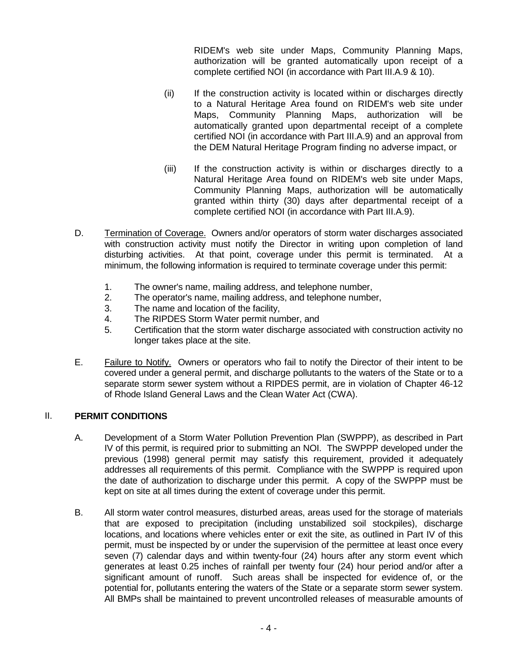RIDEM's web site under Maps, Community Planning Maps, authorization will be granted automatically upon receipt of a complete certified NOI (in accordance with Part III.A.9 & 10).

- (ii) If the construction activity is located within or discharges directly to a Natural Heritage Area found on RIDEM's web site under Maps, Community Planning Maps, authorization will be automatically granted upon departmental receipt of a complete certified NOI (in accordance with Part III.A.9) and an approval from the DEM Natural Heritage Program finding no adverse impact, or
- (iii) If the construction activity is within or discharges directly to a Natural Heritage Area found on RIDEM's web site under Maps, Community Planning Maps, authorization will be automatically granted within thirty (30) days after departmental receipt of a complete certified NOI (in accordance with Part III.A.9).
- D. Termination of Coverage. Owners and/or operators of storm water discharges associated with construction activity must notify the Director in writing upon completion of land disturbing activities. At that point, coverage under this permit is terminated. At a minimum, the following information is required to terminate coverage under this permit:
	- 1. The owner's name, mailing address, and telephone number,
	- 2. The operator's name, mailing address, and telephone number,
	- 3. The name and location of the facility,
	- 4. The RIPDES Storm Water permit number, and
	- 5. Certification that the storm water discharge associated with construction activity no longer takes place at the site.
- E. Failure to Notify. Owners or operators who fail to notify the Director of their intent to be covered under a general permit, and discharge pollutants to the waters of the State or to a separate storm sewer system without a RIPDES permit, are in violation of Chapter 46-12 of Rhode Island General Laws and the Clean Water Act (CWA).

# II. **PERMIT CONDITIONS**

- A. Development of a Storm Water Pollution Prevention Plan (SWPPP), as described in Part IV of this permit, is required prior to submitting an NOI. The SWPPP developed under the previous (1998) general permit may satisfy this requirement, provided it adequately addresses all requirements of this permit. Compliance with the SWPPP is required upon the date of authorization to discharge under this permit. A copy of the SWPPP must be kept on site at all times during the extent of coverage under this permit.
- B. All storm water control measures, disturbed areas, areas used for the storage of materials that are exposed to precipitation (including unstabilized soil stockpiles), discharge locations, and locations where vehicles enter or exit the site, as outlined in Part IV of this permit, must be inspected by or under the supervision of the permittee at least once every seven (7) calendar days and within twenty-four (24) hours after any storm event which generates at least 0.25 inches of rainfall per twenty four (24) hour period and/or after a significant amount of runoff. Such areas shall be inspected for evidence of, or the potential for, pollutants entering the waters of the State or a separate storm sewer system. All BMPs shall be maintained to prevent uncontrolled releases of measurable amounts of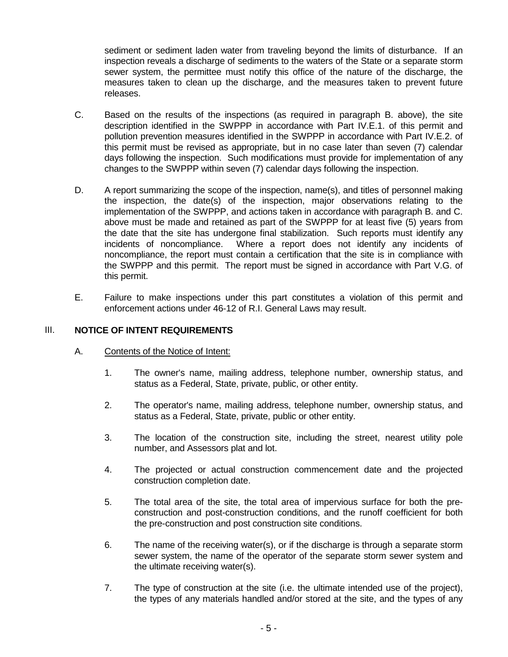sediment or sediment laden water from traveling beyond the limits of disturbance. If an inspection reveals a discharge of sediments to the waters of the State or a separate storm sewer system, the permittee must notify this office of the nature of the discharge, the measures taken to clean up the discharge, and the measures taken to prevent future releases.

- C. Based on the results of the inspections (as required in paragraph B. above), the site description identified in the SWPPP in accordance with Part IV.E.1. of this permit and pollution prevention measures identified in the SWPPP in accordance with Part IV.E.2. of this permit must be revised as appropriate, but in no case later than seven (7) calendar days following the inspection. Such modifications must provide for implementation of any changes to the SWPPP within seven (7) calendar days following the inspection.
- D. A report summarizing the scope of the inspection, name(s), and titles of personnel making the inspection, the date(s) of the inspection, major observations relating to the implementation of the SWPPP, and actions taken in accordance with paragraph B. and C. above must be made and retained as part of the SWPPP for at least five (5) years from the date that the site has undergone final stabilization. Such reports must identify any incidents of noncompliance. Where a report does not identify any incidents of noncompliance, the report must contain a certification that the site is in compliance with the SWPPP and this permit. The report must be signed in accordance with Part V.G. of this permit.
- E. Failure to make inspections under this part constitutes a violation of this permit and enforcement actions under 46-12 of R.I. General Laws may result.

## III. **NOTICE OF INTENT REQUIREMENTS**

## A. Contents of the Notice of Intent:

- 1. The owner's name, mailing address, telephone number, ownership status, and status as a Federal, State, private, public, or other entity.
- 2. The operator's name, mailing address, telephone number, ownership status, and status as a Federal, State, private, public or other entity.
- 3. The location of the construction site, including the street, nearest utility pole number, and Assessors plat and lot.
- 4. The projected or actual construction commencement date and the projected construction completion date.
- 5. The total area of the site, the total area of impervious surface for both the preconstruction and post-construction conditions, and the runoff coefficient for both the pre-construction and post construction site conditions.
- 6. The name of the receiving water(s), or if the discharge is through a separate storm sewer system, the name of the operator of the separate storm sewer system and the ultimate receiving water(s).
- 7. The type of construction at the site (i.e. the ultimate intended use of the project), the types of any materials handled and/or stored at the site, and the types of any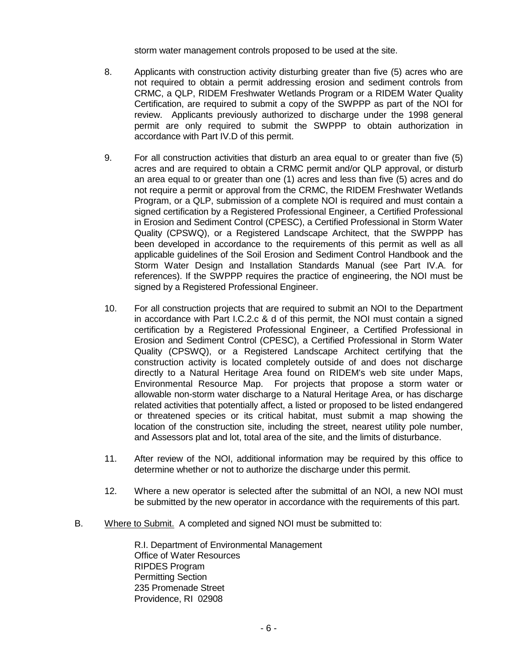storm water management controls proposed to be used at the site.

- 8. Applicants with construction activity disturbing greater than five (5) acres who are not required to obtain a permit addressing erosion and sediment controls from CRMC, a QLP, RIDEM Freshwater Wetlands Program or a RIDEM Water Quality Certification, are required to submit a copy of the SWPPP as part of the NOI for review. Applicants previously authorized to discharge under the 1998 general permit are only required to submit the SWPPP to obtain authorization in accordance with Part IV.D of this permit.
- 9. For all construction activities that disturb an area equal to or greater than five (5) acres and are required to obtain a CRMC permit and/or QLP approval, or disturb an area equal to or greater than one (1) acres and less than five (5) acres and do not require a permit or approval from the CRMC, the RIDEM Freshwater Wetlands Program, or a QLP, submission of a complete NOI is required and must contain a signed certification by a Registered Professional Engineer, a Certified Professional in Erosion and Sediment Control (CPESC), a Certified Professional in Storm Water Quality (CPSWQ), or a Registered Landscape Architect, that the SWPPP has been developed in accordance to the requirements of this permit as well as all applicable guidelines of the Soil Erosion and Sediment Control Handbook and the Storm Water Design and Installation Standards Manual (see Part IV.A. for references). If the SWPPP requires the practice of engineering, the NOI must be signed by a Registered Professional Engineer.
- 10. For all construction projects that are required to submit an NOI to the Department in accordance with Part I.C.2.c & d of this permit, the NOI must contain a signed certification by a Registered Professional Engineer, a Certified Professional in Erosion and Sediment Control (CPESC), a Certified Professional in Storm Water Quality (CPSWQ), or a Registered Landscape Architect certifying that the construction activity is located completely outside of and does not discharge directly to a Natural Heritage Area found on RIDEM's web site under Maps, Environmental Resource Map. For projects that propose a storm water or allowable non-storm water discharge to a Natural Heritage Area, or has discharge related activities that potentially affect, a listed or proposed to be listed endangered or threatened species or its critical habitat, must submit a map showing the location of the construction site, including the street, nearest utility pole number, and Assessors plat and lot, total area of the site, and the limits of disturbance.
- 11. After review of the NOI, additional information may be required by this office to determine whether or not to authorize the discharge under this permit.
- 12. Where a new operator is selected after the submittal of an NOI, a new NOI must be submitted by the new operator in accordance with the requirements of this part.
- B. Where to Submit. A completed and signed NOI must be submitted to:

R.I. Department of Environmental Management Office of Water Resources RIPDES Program Permitting Section 235 Promenade Street Providence, RI 02908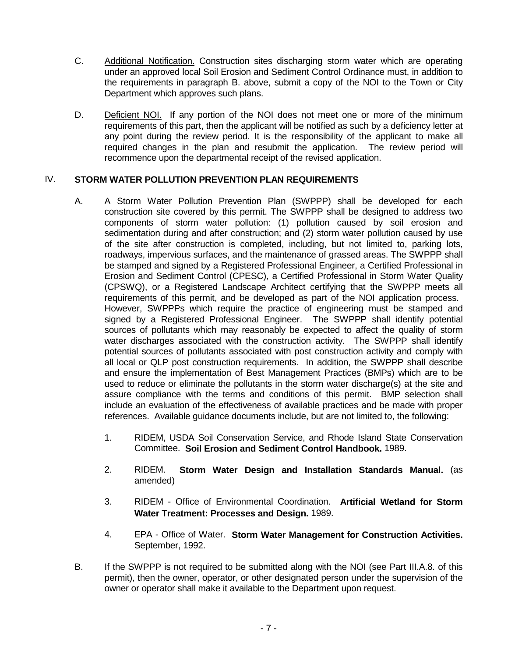- C. Additional Notification. Construction sites discharging storm water which are operating under an approved local Soil Erosion and Sediment Control Ordinance must, in addition to the requirements in paragraph B. above, submit a copy of the NOI to the Town or City Department which approves such plans.
- D. Deficient NOI. If any portion of the NOI does not meet one or more of the minimum requirements of this part, then the applicant will be notified as such by a deficiency letter at any point during the review period. It is the responsibility of the applicant to make all required changes in the plan and resubmit the application. The review period will recommence upon the departmental receipt of the revised application.

## IV. **STORM WATER POLLUTION PREVENTION PLAN REQUIREMENTS**

- A. A Storm Water Pollution Prevention Plan (SWPPP) shall be developed for each construction site covered by this permit. The SWPPP shall be designed to address two components of storm water pollution: (1) pollution caused by soil erosion and sedimentation during and after construction; and (2) storm water pollution caused by use of the site after construction is completed, including, but not limited to, parking lots, roadways, impervious surfaces, and the maintenance of grassed areas. The SWPPP shall be stamped and signed by a Registered Professional Engineer, a Certified Professional in Erosion and Sediment Control (CPESC), a Certified Professional in Storm Water Quality (CPSWQ), or a Registered Landscape Architect certifying that the SWPPP meets all requirements of this permit, and be developed as part of the NOI application process. However, SWPPPs which require the practice of engineering must be stamped and signed by a Registered Professional Engineer. The SWPPP shall identify potential sources of pollutants which may reasonably be expected to affect the quality of storm water discharges associated with the construction activity. The SWPPP shall identify potential sources of pollutants associated with post construction activity and comply with all local or QLP post construction requirements. In addition, the SWPPP shall describe and ensure the implementation of Best Management Practices (BMPs) which are to be used to reduce or eliminate the pollutants in the storm water discharge(s) at the site and assure compliance with the terms and conditions of this permit. BMP selection shall include an evaluation of the effectiveness of available practices and be made with proper references. Available guidance documents include, but are not limited to, the following:
	- 1. RIDEM, USDA Soil Conservation Service, and Rhode Island State Conservation Committee. **Soil Erosion and Sediment Control Handbook.** 1989.
	- 2. RIDEM. **Storm Water Design and Installation Standards Manual.** (as amended)
	- 3. RIDEM Office of Environmental Coordination. **Artificial Wetland for Storm Water Treatment: Processes and Design.** 1989.
	- 4. EPA Office of Water. **Storm Water Management for Construction Activities.** September, 1992.
- B. If the SWPPP is not required to be submitted along with the NOI (see Part III.A.8. of this permit), then the owner, operator, or other designated person under the supervision of the owner or operator shall make it available to the Department upon request.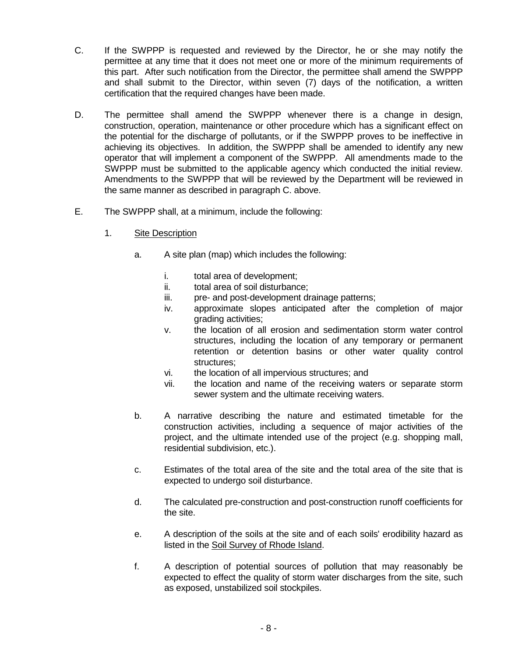- C. If the SWPPP is requested and reviewed by the Director, he or she may notify the permittee at any time that it does not meet one or more of the minimum requirements of this part. After such notification from the Director, the permittee shall amend the SWPPP and shall submit to the Director, within seven (7) days of the notification, a written certification that the required changes have been made.
- D. The permittee shall amend the SWPPP whenever there is a change in design, construction, operation, maintenance or other procedure which has a significant effect on the potential for the discharge of pollutants, or if the SWPPP proves to be ineffective in achieving its objectives. In addition, the SWPPP shall be amended to identify any new operator that will implement a component of the SWPPP. All amendments made to the SWPPP must be submitted to the applicable agency which conducted the initial review. Amendments to the SWPPP that will be reviewed by the Department will be reviewed in the same manner as described in paragraph C. above.
- E. The SWPPP shall, at a minimum, include the following:
	- 1. Site Description
		- a. A site plan (map) which includes the following:
			- i. total area of development;
			- ii. total area of soil disturbance;
			- iii. pre- and post-development drainage patterns;
			- iv. approximate slopes anticipated after the completion of major grading activities;
			- v. the location of all erosion and sedimentation storm water control structures, including the location of any temporary or permanent retention or detention basins or other water quality control structures;
			- vi. the location of all impervious structures; and
			- vii. the location and name of the receiving waters or separate storm sewer system and the ultimate receiving waters.
		- b. A narrative describing the nature and estimated timetable for the construction activities, including a sequence of major activities of the project, and the ultimate intended use of the project (e.g. shopping mall, residential subdivision, etc.).
		- c. Estimates of the total area of the site and the total area of the site that is expected to undergo soil disturbance.
		- d. The calculated pre-construction and post-construction runoff coefficients for the site.
		- e. A description of the soils at the site and of each soils' erodibility hazard as listed in the Soil Survey of Rhode Island.
		- f. A description of potential sources of pollution that may reasonably be expected to effect the quality of storm water discharges from the site, such as exposed, unstabilized soil stockpiles.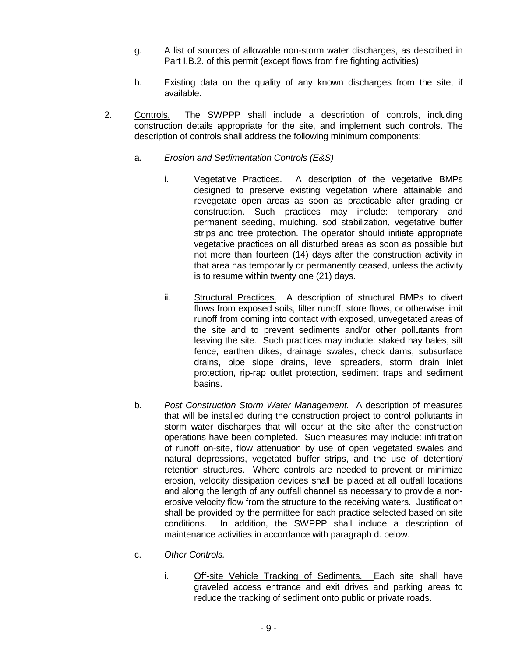- g. A list of sources of allowable non-storm water discharges, as described in Part I.B.2. of this permit (except flows from fire fighting activities)
- h. Existing data on the quality of any known discharges from the site, if available.
- 2. Controls. The SWPPP shall include a description of controls, including construction details appropriate for the site, and implement such controls. The description of controls shall address the following minimum components:
	- a. *Erosion and Sedimentation Controls (E&S)*
		- i. Vegetative Practices. A description of the vegetative BMPs designed to preserve existing vegetation where attainable and revegetate open areas as soon as practicable after grading or construction. Such practices may include: temporary and permanent seeding, mulching, sod stabilization, vegetative buffer strips and tree protection. The operator should initiate appropriate vegetative practices on all disturbed areas as soon as possible but not more than fourteen (14) days after the construction activity in that area has temporarily or permanently ceased, unless the activity is to resume within twenty one (21) days.
		- ii. Structural Practices. A description of structural BMPs to divert flows from exposed soils, filter runoff, store flows, or otherwise limit runoff from coming into contact with exposed, unvegetated areas of the site and to prevent sediments and/or other pollutants from leaving the site. Such practices may include: staked hay bales, silt fence, earthen dikes, drainage swales, check dams, subsurface drains, pipe slope drains, level spreaders, storm drain inlet protection, rip-rap outlet protection, sediment traps and sediment basins.
	- b. *Post Construction Storm Water Management.* A description of measures that will be installed during the construction project to control pollutants in storm water discharges that will occur at the site after the construction operations have been completed. Such measures may include: infiltration of runoff on-site, flow attenuation by use of open vegetated swales and natural depressions, vegetated buffer strips, and the use of detention/ retention structures. Where controls are needed to prevent or minimize erosion, velocity dissipation devices shall be placed at all outfall locations and along the length of any outfall channel as necessary to provide a nonerosive velocity flow from the structure to the receiving waters. Justification shall be provided by the permittee for each practice selected based on site conditions. In addition, the SWPPP shall include a description of maintenance activities in accordance with paragraph d. below.
	- c. *Other Controls.*
		- i. Off-site Vehicle Tracking of Sediments. Each site shall have graveled access entrance and exit drives and parking areas to reduce the tracking of sediment onto public or private roads.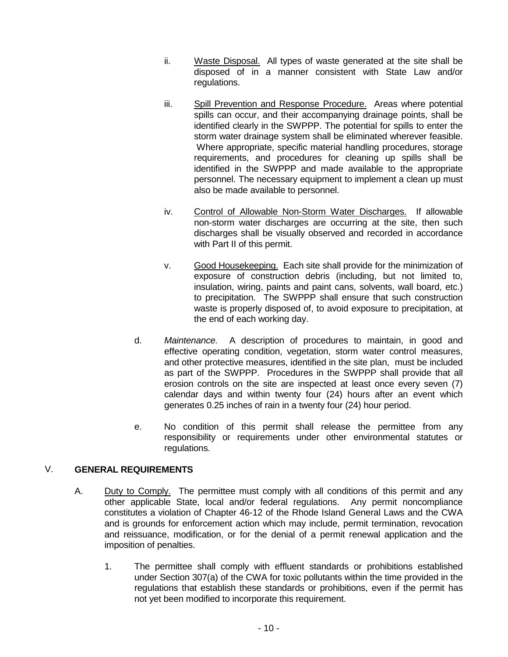- ii. Waste Disposal. All types of waste generated at the site shall be disposed of in a manner consistent with State Law and/or regulations.
- iii. Spill Prevention and Response Procedure. Areas where potential spills can occur, and their accompanying drainage points, shall be identified clearly in the SWPPP. The potential for spills to enter the storm water drainage system shall be eliminated wherever feasible. Where appropriate, specific material handling procedures, storage requirements, and procedures for cleaning up spills shall be identified in the SWPPP and made available to the appropriate personnel. The necessary equipment to implement a clean up must also be made available to personnel.
- iv. Control of Allowable Non-Storm Water Discharges. If allowable non-storm water discharges are occurring at the site, then such discharges shall be visually observed and recorded in accordance with Part II of this permit.
- v. Good Housekeeping. Each site shall provide for the minimization of exposure of construction debris (including, but not limited to, insulation, wiring, paints and paint cans, solvents, wall board, etc.) to precipitation. The SWPPP shall ensure that such construction waste is properly disposed of, to avoid exposure to precipitation, at the end of each working day.
- d. *Maintenance.* A description of procedures to maintain, in good and effective operating condition, vegetation, storm water control measures, and other protective measures, identified in the site plan, must be included as part of the SWPPP. Procedures in the SWPPP shall provide that all erosion controls on the site are inspected at least once every seven (7) calendar days and within twenty four (24) hours after an event which generates 0.25 inches of rain in a twenty four (24) hour period.
- e. No condition of this permit shall release the permittee from any responsibility or requirements under other environmental statutes or regulations.

# V. **GENERAL REQUIREMENTS**

- A. Duty to Comply. The permittee must comply with all conditions of this permit and any other applicable State, local and/or federal regulations. Any permit noncompliance constitutes a violation of Chapter 46-12 of the Rhode Island General Laws and the CWA and is grounds for enforcement action which may include, permit termination, revocation and reissuance, modification, or for the denial of a permit renewal application and the imposition of penalties.
	- 1. The permittee shall comply with effluent standards or prohibitions established under Section 307(a) of the CWA for toxic pollutants within the time provided in the regulations that establish these standards or prohibitions, even if the permit has not yet been modified to incorporate this requirement.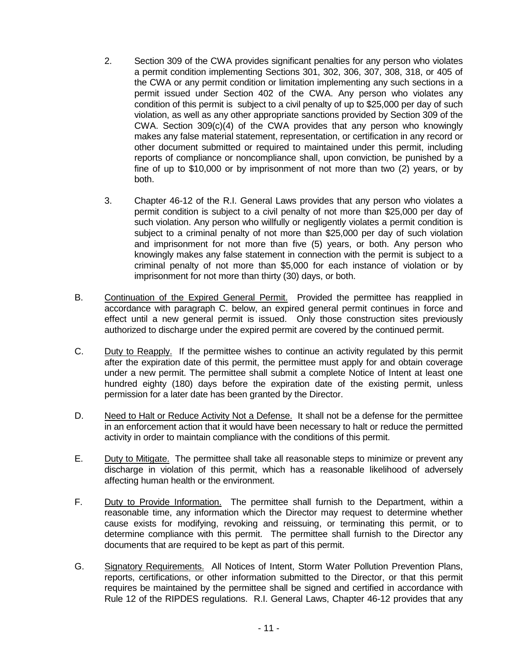- 2. Section 309 of the CWA provides significant penalties for any person who violates a permit condition implementing Sections 301, 302, 306, 307, 308, 318, or 405 of the CWA or any permit condition or limitation implementing any such sections in a permit issued under Section 402 of the CWA. Any person who violates any condition of this permit is subject to a civil penalty of up to \$25,000 per day of such violation, as well as any other appropriate sanctions provided by Section 309 of the CWA. Section 309(c)(4) of the CWA provides that any person who knowingly makes any false material statement, representation, or certification in any record or other document submitted or required to maintained under this permit, including reports of compliance or noncompliance shall, upon conviction, be punished by a fine of up to \$10,000 or by imprisonment of not more than two (2) years, or by both.
- 3. Chapter 46-12 of the R.I. General Laws provides that any person who violates a permit condition is subject to a civil penalty of not more than \$25,000 per day of such violation. Any person who willfully or negligently violates a permit condition is subject to a criminal penalty of not more than \$25,000 per day of such violation and imprisonment for not more than five (5) years, or both. Any person who knowingly makes any false statement in connection with the permit is subject to a criminal penalty of not more than \$5,000 for each instance of violation or by imprisonment for not more than thirty (30) days, or both.
- B. Continuation of the Expired General Permit. Provided the permittee has reapplied in accordance with paragraph C. below, an expired general permit continues in force and effect until a new general permit is issued. Only those construction sites previously authorized to discharge under the expired permit are covered by the continued permit.
- C. Duty to Reapply. If the permittee wishes to continue an activity regulated by this permit after the expiration date of this permit, the permittee must apply for and obtain coverage under a new permit. The permittee shall submit a complete Notice of Intent at least one hundred eighty (180) days before the expiration date of the existing permit, unless permission for a later date has been granted by the Director.
- D. Need to Halt or Reduce Activity Not a Defense. It shall not be a defense for the permittee in an enforcement action that it would have been necessary to halt or reduce the permitted activity in order to maintain compliance with the conditions of this permit.
- E. Duty to Mitigate. The permittee shall take all reasonable steps to minimize or prevent any discharge in violation of this permit, which has a reasonable likelihood of adversely affecting human health or the environment.
- F. Duty to Provide Information. The permittee shall furnish to the Department, within a reasonable time, any information which the Director may request to determine whether cause exists for modifying, revoking and reissuing, or terminating this permit, or to determine compliance with this permit. The permittee shall furnish to the Director any documents that are required to be kept as part of this permit.
- G. Signatory Requirements. All Notices of Intent, Storm Water Pollution Prevention Plans, reports, certifications, or other information submitted to the Director, or that this permit requires be maintained by the permittee shall be signed and certified in accordance with Rule 12 of the RIPDES regulations. R.I. General Laws, Chapter 46-12 provides that any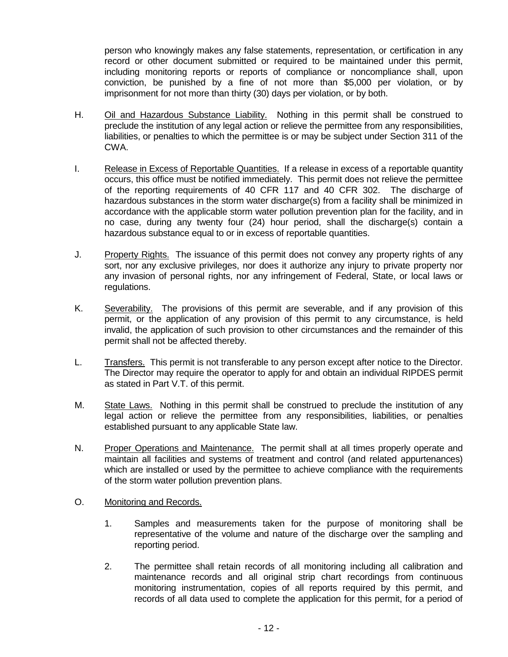person who knowingly makes any false statements, representation, or certification in any record or other document submitted or required to be maintained under this permit, including monitoring reports or reports of compliance or noncompliance shall, upon conviction, be punished by a fine of not more than \$5,000 per violation, or by imprisonment for not more than thirty (30) days per violation, or by both.

- H. Oil and Hazardous Substance Liability. Nothing in this permit shall be construed to preclude the institution of any legal action or relieve the permittee from any responsibilities, liabilities, or penalties to which the permittee is or may be subject under Section 311 of the CWA.
- I. Release in Excess of Reportable Quantities. If a release in excess of a reportable quantity occurs, this office must be notified immediately. This permit does not relieve the permittee of the reporting requirements of 40 CFR 117 and 40 CFR 302. The discharge of hazardous substances in the storm water discharge(s) from a facility shall be minimized in accordance with the applicable storm water pollution prevention plan for the facility, and in no case, during any twenty four (24) hour period, shall the discharge(s) contain a hazardous substance equal to or in excess of reportable quantities.
- J. Property Rights. The issuance of this permit does not convey any property rights of any sort, nor any exclusive privileges, nor does it authorize any injury to private property nor any invasion of personal rights, nor any infringement of Federal, State, or local laws or regulations.
- K. Severability. The provisions of this permit are severable, and if any provision of this permit, or the application of any provision of this permit to any circumstance, is held invalid, the application of such provision to other circumstances and the remainder of this permit shall not be affected thereby.
- L. Transfers. This permit is not transferable to any person except after notice to the Director. The Director may require the operator to apply for and obtain an individual RIPDES permit as stated in Part V.T. of this permit.
- M. State Laws. Nothing in this permit shall be construed to preclude the institution of any legal action or relieve the permittee from any responsibilities, liabilities, or penalties established pursuant to any applicable State law.
- N. Proper Operations and Maintenance. The permit shall at all times properly operate and maintain all facilities and systems of treatment and control (and related appurtenances) which are installed or used by the permittee to achieve compliance with the requirements of the storm water pollution prevention plans.
- O. Monitoring and Records.
	- 1. Samples and measurements taken for the purpose of monitoring shall be representative of the volume and nature of the discharge over the sampling and reporting period.
	- 2. The permittee shall retain records of all monitoring including all calibration and maintenance records and all original strip chart recordings from continuous monitoring instrumentation, copies of all reports required by this permit, and records of all data used to complete the application for this permit, for a period of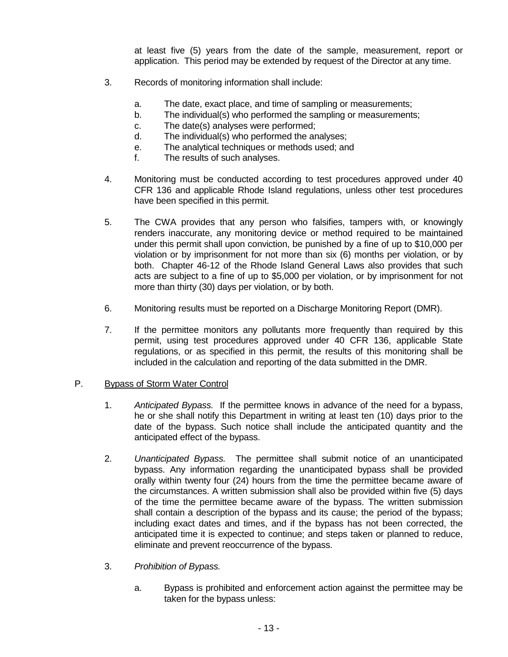at least five (5) years from the date of the sample, measurement, report or application. This period may be extended by request of the Director at any time.

- 3. Records of monitoring information shall include:
	- a. The date, exact place, and time of sampling or measurements;
	- b. The individual(s) who performed the sampling or measurements;
	- c. The date(s) analyses were performed;
	- d. The individual(s) who performed the analyses;
	- e. The analytical techniques or methods used; and
	- f. The results of such analyses.
- 4. Monitoring must be conducted according to test procedures approved under 40 CFR 136 and applicable Rhode Island regulations, unless other test procedures have been specified in this permit.
- 5. The CWA provides that any person who falsifies, tampers with, or knowingly renders inaccurate, any monitoring device or method required to be maintained under this permit shall upon conviction, be punished by a fine of up to \$10,000 per violation or by imprisonment for not more than six (6) months per violation, or by both. Chapter 46-12 of the Rhode Island General Laws also provides that such acts are subject to a fine of up to \$5,000 per violation, or by imprisonment for not more than thirty (30) days per violation, or by both.
- 6. Monitoring results must be reported on a Discharge Monitoring Report (DMR).
- 7. If the permittee monitors any pollutants more frequently than required by this permit, using test procedures approved under 40 CFR 136, applicable State regulations, or as specified in this permit, the results of this monitoring shall be included in the calculation and reporting of the data submitted in the DMR.

#### P. Bypass of Storm Water Control

- 1. *Anticipated Bypass.* If the permittee knows in advance of the need for a bypass, he or she shall notify this Department in writing at least ten (10) days prior to the date of the bypass. Such notice shall include the anticipated quantity and the anticipated effect of the bypass.
- 2. *Unanticipated Bypass.* The permittee shall submit notice of an unanticipated bypass. Any information regarding the unanticipated bypass shall be provided orally within twenty four (24) hours from the time the permittee became aware of the circumstances. A written submission shall also be provided within five (5) days of the time the permittee became aware of the bypass. The written submission shall contain a description of the bypass and its cause; the period of the bypass; including exact dates and times, and if the bypass has not been corrected, the anticipated time it is expected to continue; and steps taken or planned to reduce, eliminate and prevent reoccurrence of the bypass.
- 3. *Prohibition of Bypass.*
	- a. Bypass is prohibited and enforcement action against the permittee may be taken for the bypass unless: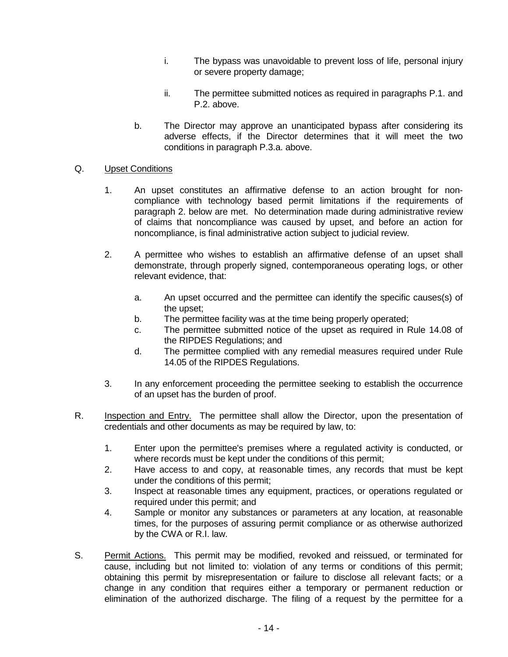- i. The bypass was unavoidable to prevent loss of life, personal injury or severe property damage;
- ii. The permittee submitted notices as required in paragraphs P.1. and P.2. above.
- b. The Director may approve an unanticipated bypass after considering its adverse effects, if the Director determines that it will meet the two conditions in paragraph P.3.a. above.

## Q. Upset Conditions

- 1. An upset constitutes an affirmative defense to an action brought for noncompliance with technology based permit limitations if the requirements of paragraph 2. below are met. No determination made during administrative review of claims that noncompliance was caused by upset, and before an action for noncompliance, is final administrative action subject to judicial review.
- 2. A permittee who wishes to establish an affirmative defense of an upset shall demonstrate, through properly signed, contemporaneous operating logs, or other relevant evidence, that:
	- a. An upset occurred and the permittee can identify the specific causes(s) of the upset;
	- b. The permittee facility was at the time being properly operated;
	- c. The permittee submitted notice of the upset as required in Rule 14.08 of the RIPDES Regulations; and
	- d. The permittee complied with any remedial measures required under Rule 14.05 of the RIPDES Regulations.
- 3. In any enforcement proceeding the permittee seeking to establish the occurrence of an upset has the burden of proof.
- R. Inspection and Entry. The permittee shall allow the Director, upon the presentation of credentials and other documents as may be required by law, to:
	- 1. Enter upon the permittee's premises where a regulated activity is conducted, or where records must be kept under the conditions of this permit;
	- 2. Have access to and copy, at reasonable times, any records that must be kept under the conditions of this permit;
	- 3. Inspect at reasonable times any equipment, practices, or operations regulated or required under this permit; and
	- 4. Sample or monitor any substances or parameters at any location, at reasonable times, for the purposes of assuring permit compliance or as otherwise authorized by the CWA or R.I. law.
- S. Permit Actions. This permit may be modified, revoked and reissued, or terminated for cause, including but not limited to: violation of any terms or conditions of this permit; obtaining this permit by misrepresentation or failure to disclose all relevant facts; or a change in any condition that requires either a temporary or permanent reduction or elimination of the authorized discharge. The filing of a request by the permittee for a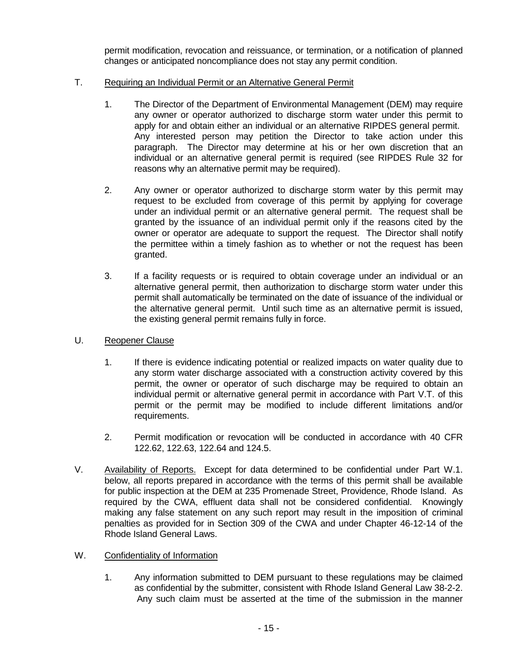permit modification, revocation and reissuance, or termination, or a notification of planned changes or anticipated noncompliance does not stay any permit condition.

## T. Requiring an Individual Permit or an Alternative General Permit

- 1. The Director of the Department of Environmental Management (DEM) may require any owner or operator authorized to discharge storm water under this permit to apply for and obtain either an individual or an alternative RIPDES general permit. Any interested person may petition the Director to take action under this paragraph. The Director may determine at his or her own discretion that an individual or an alternative general permit is required (see RIPDES Rule 32 for reasons why an alternative permit may be required).
- 2. Any owner or operator authorized to discharge storm water by this permit may request to be excluded from coverage of this permit by applying for coverage under an individual permit or an alternative general permit. The request shall be granted by the issuance of an individual permit only if the reasons cited by the owner or operator are adequate to support the request. The Director shall notify the permittee within a timely fashion as to whether or not the request has been granted.
- 3. If a facility requests or is required to obtain coverage under an individual or an alternative general permit, then authorization to discharge storm water under this permit shall automatically be terminated on the date of issuance of the individual or the alternative general permit. Until such time as an alternative permit is issued, the existing general permit remains fully in force.
- U. Reopener Clause
	- 1. If there is evidence indicating potential or realized impacts on water quality due to any storm water discharge associated with a construction activity covered by this permit, the owner or operator of such discharge may be required to obtain an individual permit or alternative general permit in accordance with Part V.T. of this permit or the permit may be modified to include different limitations and/or requirements.
	- 2. Permit modification or revocation will be conducted in accordance with 40 CFR 122.62, 122.63, 122.64 and 124.5.
- V. Availability of Reports. Except for data determined to be confidential under Part W.1. below, all reports prepared in accordance with the terms of this permit shall be available for public inspection at the DEM at 235 Promenade Street, Providence, Rhode Island. As required by the CWA, effluent data shall not be considered confidential. Knowingly making any false statement on any such report may result in the imposition of criminal penalties as provided for in Section 309 of the CWA and under Chapter 46-12-14 of the Rhode Island General Laws.

# W. Confidentiality of Information

1. Any information submitted to DEM pursuant to these regulations may be claimed as confidential by the submitter, consistent with Rhode Island General Law 38-2-2. Any such claim must be asserted at the time of the submission in the manner